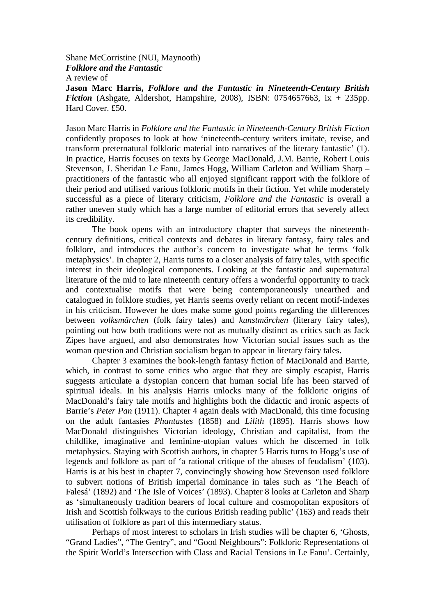Shane McCorristine (NUI, Maynooth) *Folklore and the Fantastic* A review of

**Jason Marc Harris,** *Folklore and the Fantastic in Nineteenth-Century British Fiction* (Ashgate, Aldershot, Hampshire, 2008), ISBN: 0754657663, ix + 235pp. Hard Cover. £50.

Jason Marc Harris in *Folklore and the Fantastic in Nineteenth-Century British Fiction*  confidently proposes to look at how 'nineteenth-century writers imitate, revise, and transform preternatural folkloric material into narratives of the literary fantastic' (1). In practice, Harris focuses on texts by George MacDonald, J.M. Barrie, Robert Louis Stevenson, J. Sheridan Le Fanu, James Hogg, William Carleton and William Sharp – practitioners of the fantastic who all enjoyed significant rapport with the folklore of their period and utilised various folkloric motifs in their fiction. Yet while moderately successful as a piece of literary criticism, *Folklore and the Fantastic* is overall a rather uneven study which has a large number of editorial errors that severely affect its credibility.

 The book opens with an introductory chapter that surveys the nineteenthcentury definitions, critical contexts and debates in literary fantasy, fairy tales and folklore, and introduces the author's concern to investigate what he terms 'folk metaphysics'. In chapter 2, Harris turns to a closer analysis of fairy tales, with specific interest in their ideological components. Looking at the fantastic and supernatural literature of the mid to late nineteenth century offers a wonderful opportunity to track and contextualise motifs that were being contemporaneously unearthed and catalogued in folklore studies, yet Harris seems overly reliant on recent motif-indexes in his criticism. However he does make some good points regarding the differences between *volksmärchen* (folk fairy tales) and *kunstmärchen* (literary fairy tales), pointing out how both traditions were not as mutually distinct as critics such as Jack Zipes have argued, and also demonstrates how Victorian social issues such as the woman question and Christian socialism began to appear in literary fairy tales.

 Chapter 3 examines the book-length fantasy fiction of MacDonald and Barrie, which, in contrast to some critics who argue that they are simply escapist, Harris suggests articulate a dystopian concern that human social life has been starved of spiritual ideals. In his analysis Harris unlocks many of the folkloric origins of MacDonald's fairy tale motifs and highlights both the didactic and ironic aspects of Barrie's *Peter Pan* (1911). Chapter 4 again deals with MacDonald, this time focusing on the adult fantasies *Phantastes* (1858) and *Lilith* (1895). Harris shows how MacDonald distinguishes Victorian ideology, Christian and capitalist, from the childlike, imaginative and feminine-utopian values which he discerned in folk metaphysics. Staying with Scottish authors, in chapter 5 Harris turns to Hogg's use of legends and folklore as part of 'a rational critique of the abuses of feudalism' (103). Harris is at his best in chapter 7, convincingly showing how Stevenson used folklore to subvert notions of British imperial dominance in tales such as 'The Beach of Falesá' (1892) and 'The Isle of Voices' (1893). Chapter 8 looks at Carleton and Sharp as 'simultaneously tradition bearers of local culture and cosmopolitan expositors of Irish and Scottish folkways to the curious British reading public' (163) and reads their utilisation of folklore as part of this intermediary status.

 Perhaps of most interest to scholars in Irish studies will be chapter 6, 'Ghosts, "Grand Ladies", "The Gentry", and "Good Neighbours": Folkloric Representations of the Spirit World's Intersection with Class and Racial Tensions in Le Fanu'. Certainly,